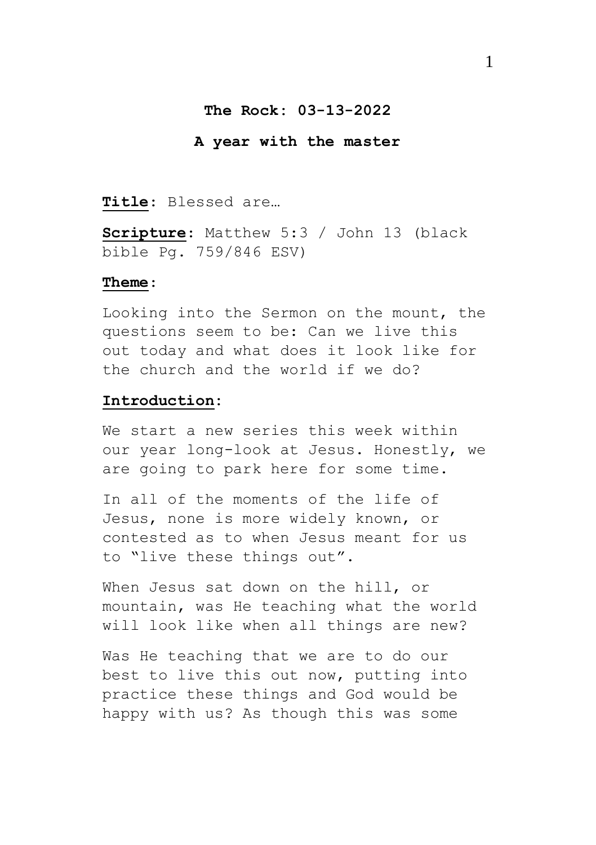### **The Rock: 03-13-2022**

#### **A year with the master**

**Title**: Blessed are…

**Scripture**: Matthew 5:3 / John 13 (black bible Pg. 759/846 ESV)

#### **Theme**:

Looking into the Sermon on the mount, the questions seem to be: Can we live this out today and what does it look like for the church and the world if we do?

#### **Introduction:**

We start a new series this week within our year long-look at Jesus. Honestly, we are going to park here for some time.

In all of the moments of the life of Jesus, none is more widely known, or contested as to when Jesus meant for us to "live these things out".

When Jesus sat down on the hill, or mountain, was He teaching what the world will look like when all things are new?

Was He teaching that we are to do our best to live this out now, putting into practice these things and God would be happy with us? As though this was some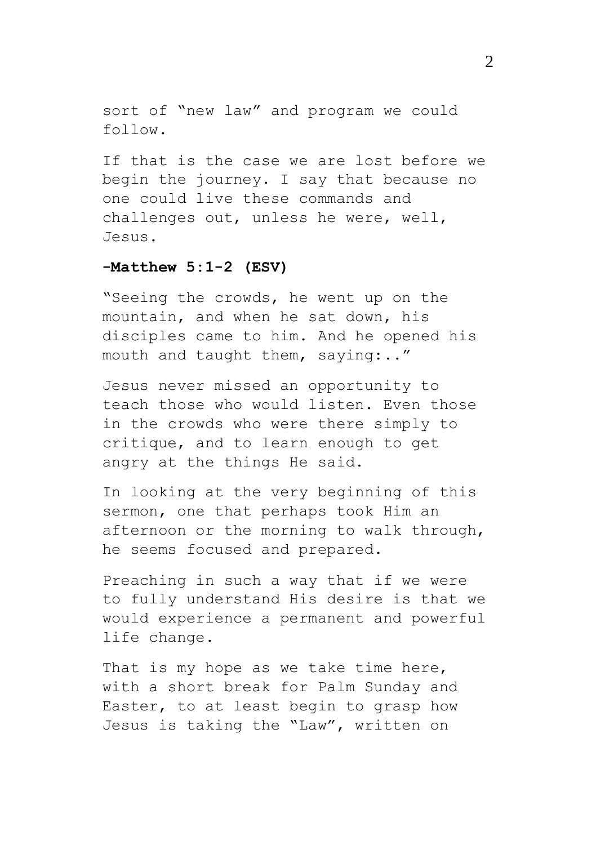sort of "new law" and program we could follow.

If that is the case we are lost before we begin the journey. I say that because no one could live these commands and challenges out, unless he were, well, Jesus.

### **-Matthew 5:1-2 (ESV)**

"Seeing the crowds, he went up on the mountain, and when he sat down, his disciples came to him. And he opened his mouth and taught them, saying:.."

Jesus never missed an opportunity to teach those who would listen. Even those in the crowds who were there simply to critique, and to learn enough to get angry at the things He said.

In looking at the very beginning of this sermon, one that perhaps took Him an afternoon or the morning to walk through, he seems focused and prepared.

Preaching in such a way that if we were to fully understand His desire is that we would experience a permanent and powerful life change.

That is my hope as we take time here, with a short break for Palm Sunday and Easter, to at least begin to grasp how Jesus is taking the "Law", written on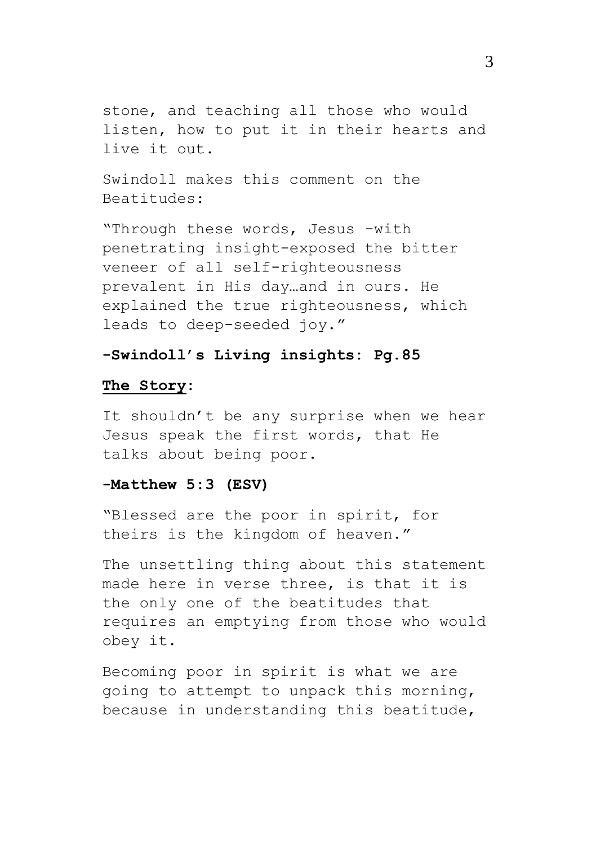stone, and teaching all those who would listen, how to put it in their hearts and live it out.

Swindoll makes this comment on the Beatitudes:

"Through these words, Jesus -with penetrating insight-exposed the bitter veneer of all self-righteousness prevalent in His day…and in ours. He explained the true righteousness, which leads to deep-seeded joy."

## **-Swindoll's Living insights: Pg.85**

### **The Story:**

It shouldn't be any surprise when we hear Jesus speak the first words, that He talks about being poor.

### **-Matthew 5:3 (ESV)**

"Blessed are the poor in spirit, for theirs is the kingdom of heaven."

The unsettling thing about this statement made here in verse three, is that it is the only one of the beatitudes that requires an emptying from those who would obey it.

Becoming poor in spirit is what we are going to attempt to unpack this morning, because in understanding this beatitude,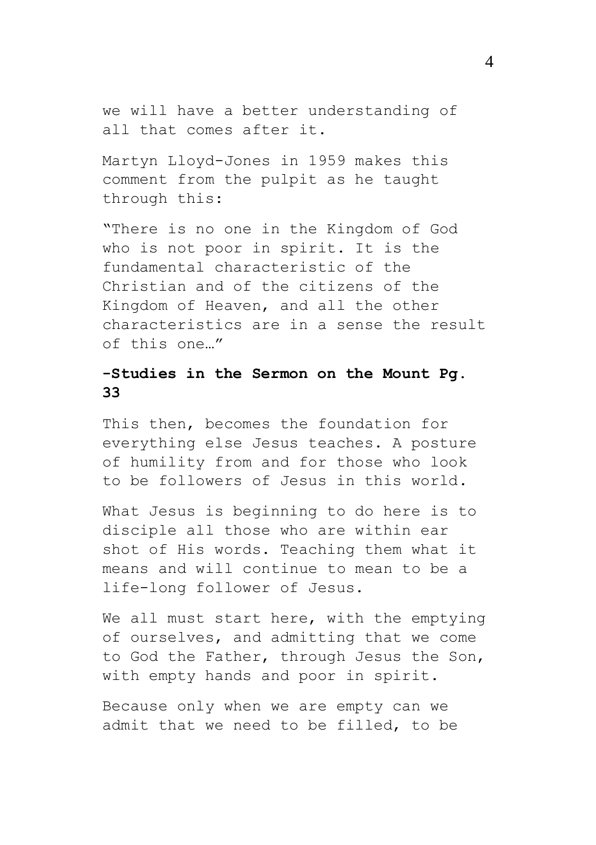we will have a better understanding of all that comes after it.

Martyn Lloyd-Jones in 1959 makes this comment from the pulpit as he taught through this:

"There is no one in the Kingdom of God who is not poor in spirit. It is the fundamental characteristic of the Christian and of the citizens of the Kingdom of Heaven, and all the other characteristics are in a sense the result of this one…"

# **-Studies in the Sermon on the Mount Pg. 33**

This then, becomes the foundation for everything else Jesus teaches. A posture of humility from and for those who look to be followers of Jesus in this world.

What Jesus is beginning to do here is to disciple all those who are within ear shot of His words. Teaching them what it means and will continue to mean to be a life-long follower of Jesus.

We all must start here, with the emptying of ourselves, and admitting that we come to God the Father, through Jesus the Son, with empty hands and poor in spirit.

Because only when we are empty can we admit that we need to be filled, to be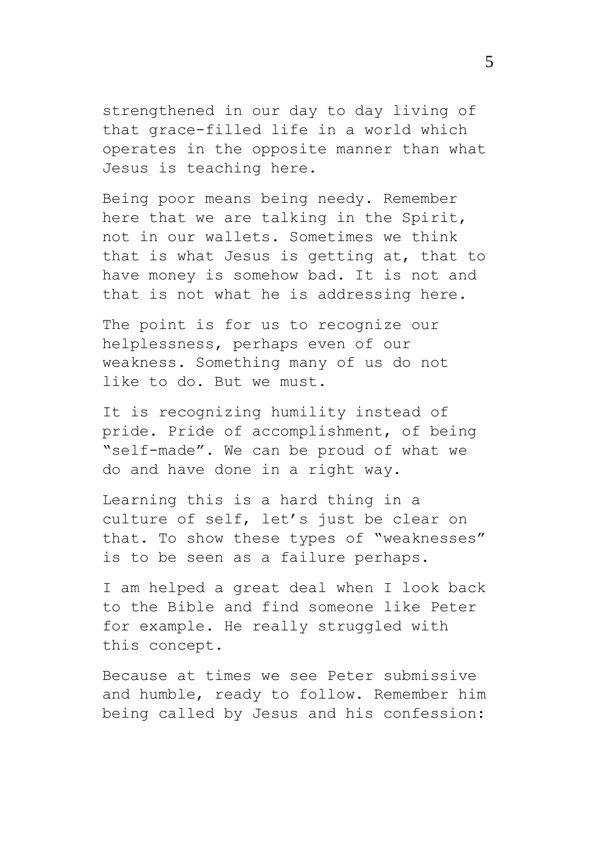strengthened in our day to day living of that grace-filled life in a world which operates in the opposite manner than what Jesus is teaching here.

Being poor means being needy. Remember here that we are talking in the Spirit, not in our wallets. Sometimes we think that is what Jesus is getting at, that to have money is somehow bad. It is not and that is not what he is addressing here.

The point is for us to recognize our helplessness, perhaps even of our weakness. Something many of us do not like to do. But we must.

It is recognizing humility instead of pride. Pride of accomplishment, of being "self-made". We can be proud of what we do and have done in a right way.

Learning this is a hard thing in a culture of self, let's just be clear on that. To show these types of "weaknesses" is to be seen as a failure perhaps.

I am helped a great deal when I look back to the Bible and find someone like Peter for example. He really struggled with this concept.

Because at times we see Peter submissive and humble, ready to follow. Remember him being called by Jesus and his confession: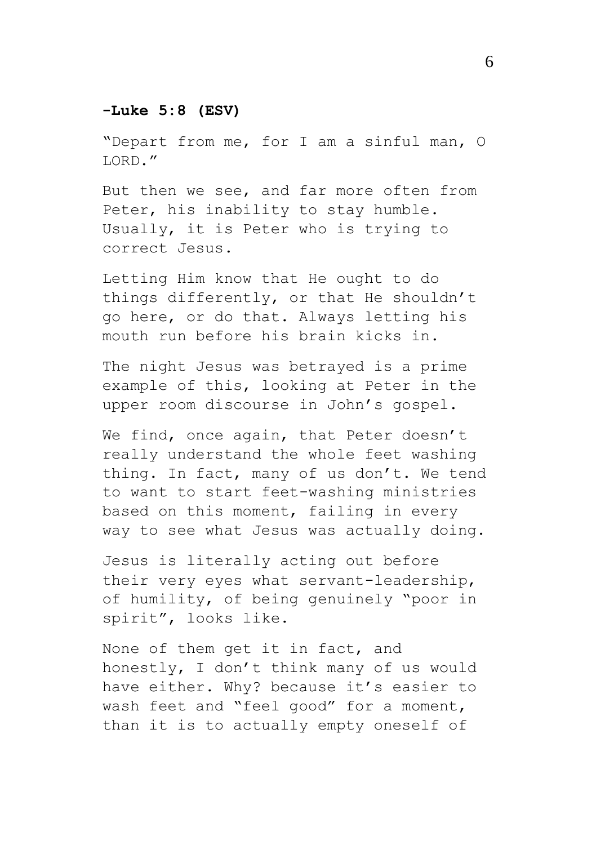# **-Luke 5:8 (ESV)**

"Depart from me, for I am a sinful man, O LORD."

But then we see, and far more often from Peter, his inability to stay humble. Usually, it is Peter who is trying to correct Jesus.

Letting Him know that He ought to do things differently, or that He shouldn't go here, or do that. Always letting his mouth run before his brain kicks in.

The night Jesus was betrayed is a prime example of this, looking at Peter in the upper room discourse in John's gospel.

We find, once again, that Peter doesn't really understand the whole feet washing thing. In fact, many of us don't. We tend to want to start feet-washing ministries based on this moment, failing in every way to see what Jesus was actually doing.

Jesus is literally acting out before their very eyes what servant-leadership, of humility, of being genuinely "poor in spirit", looks like.

None of them get it in fact, and honestly, I don't think many of us would have either. Why? because it's easier to wash feet and "feel good" for a moment, than it is to actually empty oneself of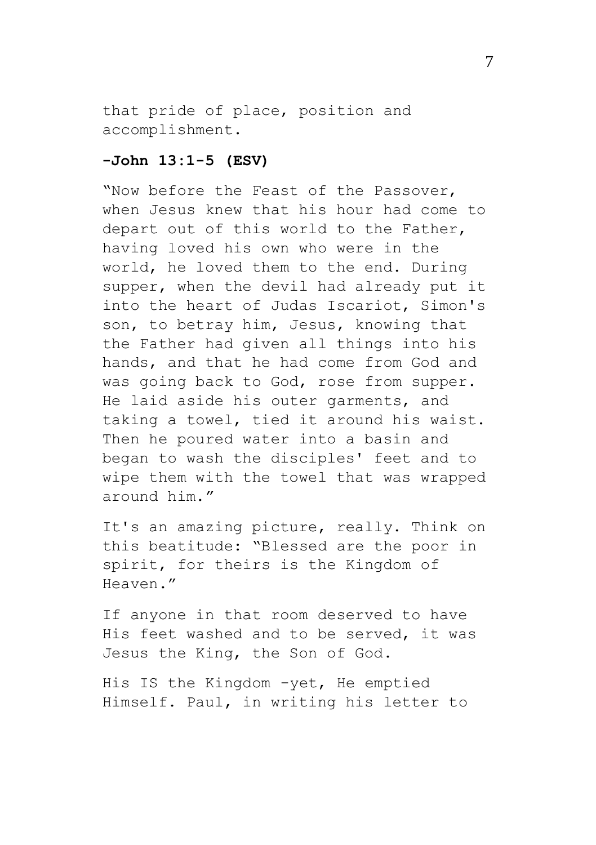that pride of place, position and accomplishment.

### **-John 13:1-5 (ESV)**

"Now before the Feast of the Passover, when Jesus knew that his hour had come to depart out of this world to the Father, having loved his own who were in the world, he loved them to the end. During supper, when the devil had already put it into the heart of Judas Iscariot, Simon's son, to betray him, Jesus, knowing that the Father had given all things into his hands, and that he had come from God and was going back to God, rose from supper. He laid aside his outer garments, and taking a towel, tied it around his waist. Then he poured water into a basin and began to wash the disciples' feet and to wipe them with the towel that was wrapped around him."

It's an amazing picture, really. Think on this beatitude: "Blessed are the poor in spirit, for theirs is the Kingdom of Heaven."

If anyone in that room deserved to have His feet washed and to be served, it was Jesus the King, the Son of God.

His IS the Kingdom -yet, He emptied Himself. Paul, in writing his letter to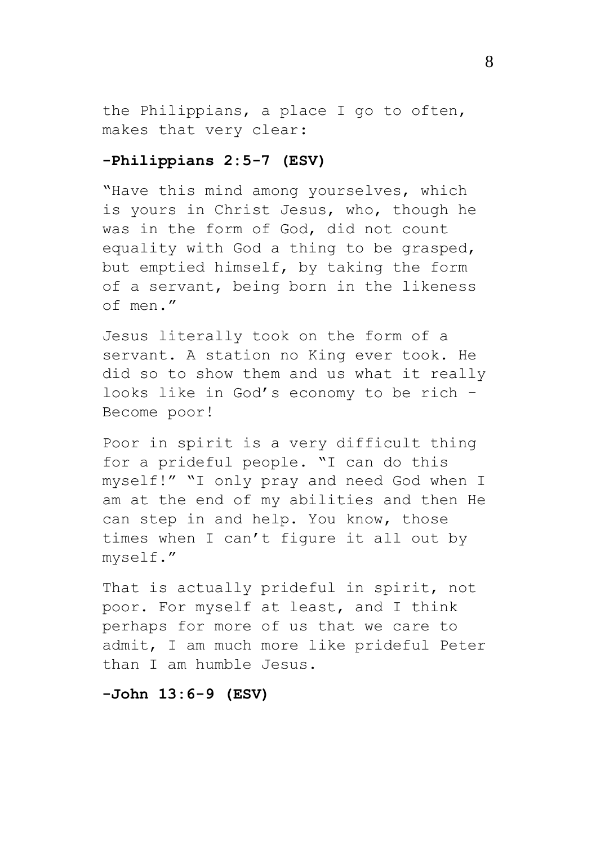the Philippians, a place I go to often, makes that very clear:

### **-Philippians 2:5-7 (ESV)**

"Have this mind among yourselves, which is yours in Christ Jesus, who, though he was in the form of God, did not count equality with God a thing to be grasped, but emptied himself, by taking the form of a servant, being born in the likeness of men."

Jesus literally took on the form of a servant. A station no King ever took. He did so to show them and us what it really looks like in God's economy to be rich - Become poor!

Poor in spirit is a very difficult thing for a prideful people. "I can do this myself!" "I only pray and need God when I am at the end of my abilities and then He can step in and help. You know, those times when I can't figure it all out by myself."

That is actually prideful in spirit, not poor. For myself at least, and I think perhaps for more of us that we care to admit, I am much more like prideful Peter than I am humble Jesus.

### **-John 13:6-9 (ESV)**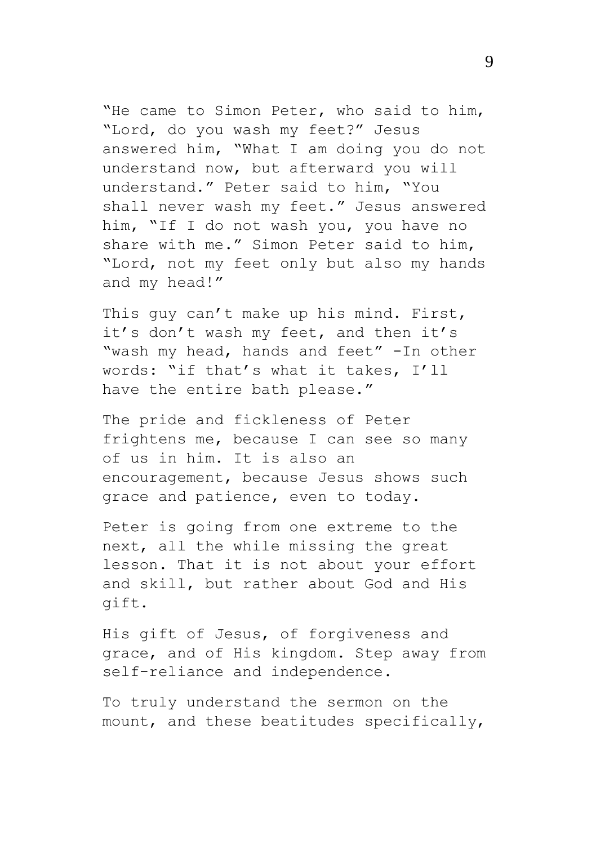"He came to Simon Peter, who said to him, "Lord, do you wash my feet?" Jesus answered him, "What I am doing you do not understand now, but afterward you will understand." Peter said to him, "You shall never wash my feet." Jesus answered him, "If I do not wash you, you have no share with me." Simon Peter said to him, "Lord, not my feet only but also my hands and my head!"

This guy can't make up his mind. First, it's don't wash my feet, and then it's "wash my head, hands and feet" -In other words: "if that's what it takes, I'll have the entire bath please."

The pride and fickleness of Peter frightens me, because I can see so many of us in him. It is also an encouragement, because Jesus shows such grace and patience, even to today.

Peter is going from one extreme to the next, all the while missing the great lesson. That it is not about your effort and skill, but rather about God and His gift.

His gift of Jesus, of forgiveness and grace, and of His kingdom. Step away from self-reliance and independence.

To truly understand the sermon on the mount, and these beatitudes specifically,

9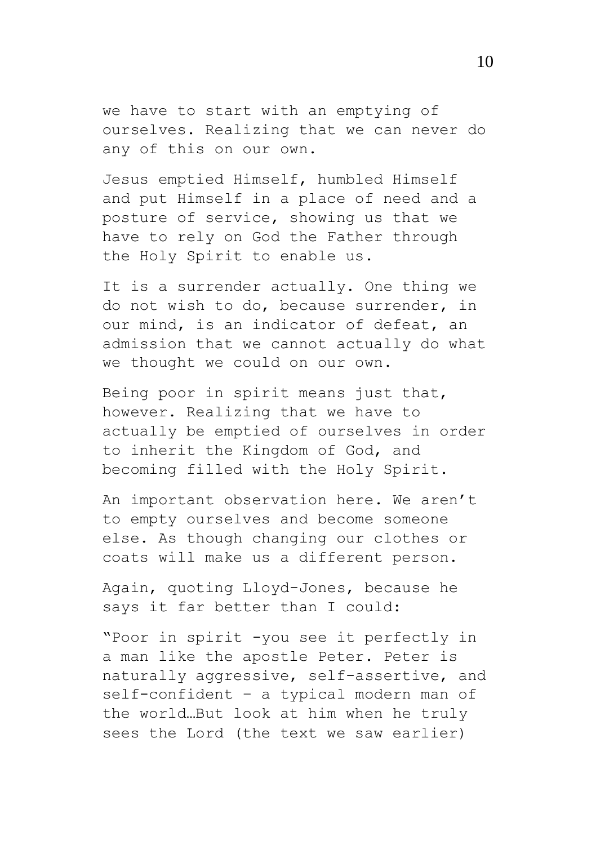we have to start with an emptying of ourselves. Realizing that we can never do any of this on our own.

Jesus emptied Himself, humbled Himself and put Himself in a place of need and a posture of service, showing us that we have to rely on God the Father through the Holy Spirit to enable us.

It is a surrender actually. One thing we do not wish to do, because surrender, in our mind, is an indicator of defeat, an admission that we cannot actually do what we thought we could on our own.

Being poor in spirit means just that, however. Realizing that we have to actually be emptied of ourselves in order to inherit the Kingdom of God, and becoming filled with the Holy Spirit.

An important observation here. We aren't to empty ourselves and become someone else. As though changing our clothes or coats will make us a different person.

Again, quoting Lloyd-Jones, because he says it far better than I could:

"Poor in spirit -you see it perfectly in a man like the apostle Peter. Peter is naturally aggressive, self-assertive, and self-confident – a typical modern man of the world…But look at him when he truly sees the Lord (the text we saw earlier)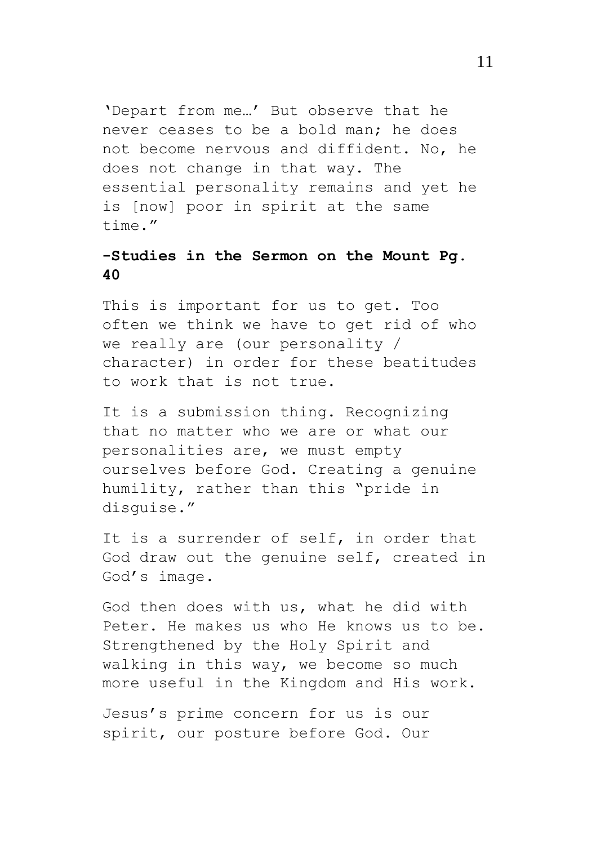'Depart from me…' But observe that he never ceases to be a bold man; he does not become nervous and diffident. No, he does not change in that way. The essential personality remains and yet he is [now] poor in spirit at the same time."

# **-Studies in the Sermon on the Mount Pg. 40**

This is important for us to get. Too often we think we have to get rid of who we really are (our personality / character) in order for these beatitudes to work that is not true.

It is a submission thing. Recognizing that no matter who we are or what our personalities are, we must empty ourselves before God. Creating a genuine humility, rather than this "pride in disguise."

It is a surrender of self, in order that God draw out the genuine self, created in God's image.

God then does with us, what he did with Peter. He makes us who He knows us to be. Strengthened by the Holy Spirit and walking in this way, we become so much more useful in the Kingdom and His work.

Jesus's prime concern for us is our spirit, our posture before God. Our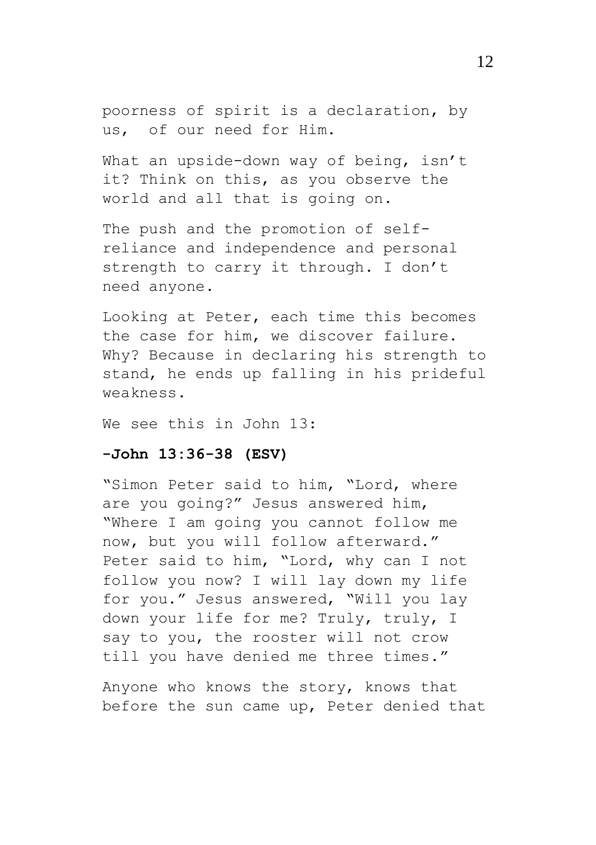poorness of spirit is a declaration, by us, of our need for Him.

What an upside-down way of being, isn't it? Think on this, as you observe the world and all that is going on.

The push and the promotion of selfreliance and independence and personal strength to carry it through. I don't need anyone.

Looking at Peter, each time this becomes the case for him, we discover failure. Why? Because in declaring his strength to stand, he ends up falling in his prideful weakness.

We see this in John 13:

### **-John 13:36-38 (ESV)**

"Simon Peter said to him, "Lord, where are you going?" Jesus answered him, "Where I am going you cannot follow me now, but you will follow afterward." Peter said to him, "Lord, why can I not follow you now? I will lay down my life for you." Jesus answered, "Will you lay down your life for me? Truly, truly, I say to you, the rooster will not crow till you have denied me three times."

Anyone who knows the story, knows that before the sun came up, Peter denied that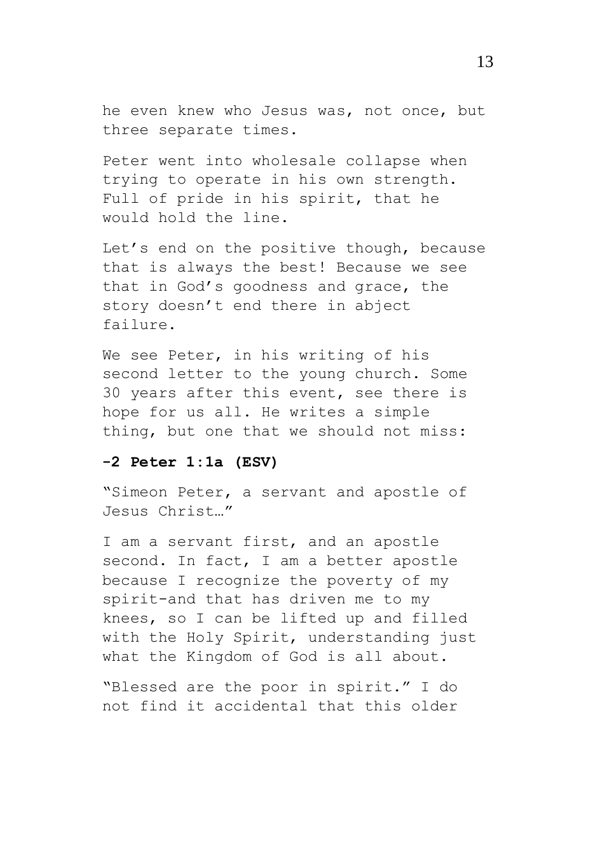he even knew who Jesus was, not once, but three separate times.

Peter went into wholesale collapse when trying to operate in his own strength. Full of pride in his spirit, that he would hold the line.

Let's end on the positive though, because that is always the best! Because we see that in God's goodness and grace, the story doesn't end there in abject failure.

We see Peter, in his writing of his second letter to the young church. Some 30 years after this event, see there is hope for us all. He writes a simple thing, but one that we should not miss:

### **-2 Peter 1:1a (ESV)**

"Simeon Peter, a servant and apostle of Jesus Christ…"

I am a servant first, and an apostle second. In fact, I am a better apostle because I recognize the poverty of my spirit-and that has driven me to my knees, so I can be lifted up and filled with the Holy Spirit, understanding just what the Kingdom of God is all about.

"Blessed are the poor in spirit." I do not find it accidental that this older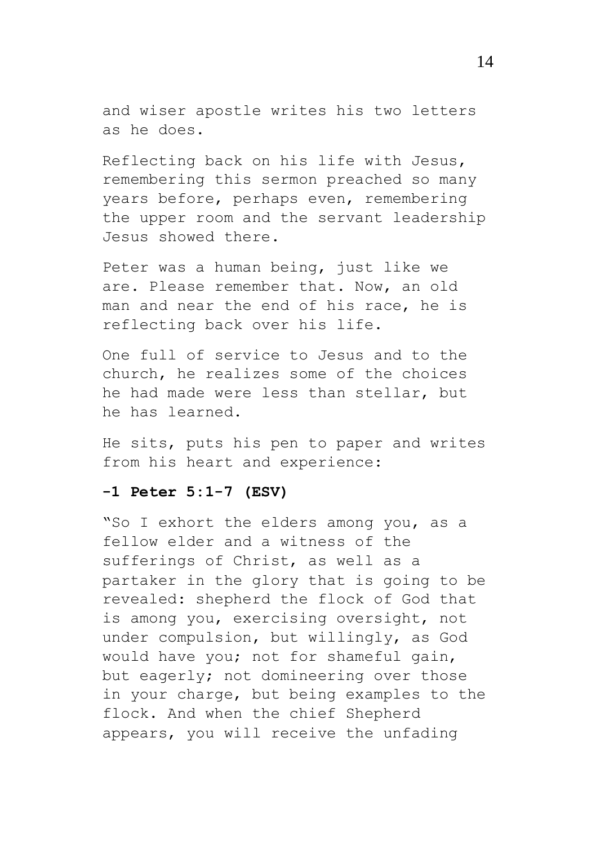and wiser apostle writes his two letters as he does.

Reflecting back on his life with Jesus, remembering this sermon preached so many years before, perhaps even, remembering the upper room and the servant leadership Jesus showed there.

Peter was a human being, just like we are. Please remember that. Now, an old man and near the end of his race, he is reflecting back over his life.

One full of service to Jesus and to the church, he realizes some of the choices he had made were less than stellar, but he has learned.

He sits, puts his pen to paper and writes from his heart and experience:

### **-1 Peter 5:1-7 (ESV)**

"So I exhort the elders among you, as a fellow elder and a witness of the sufferings of Christ, as well as a partaker in the glory that is going to be revealed: shepherd the flock of God that is among you, exercising oversight, not under compulsion, but willingly, as God would have you; not for shameful gain, but eagerly; not domineering over those in your charge, but being examples to the flock. And when the chief Shepherd appears, you will receive the unfading